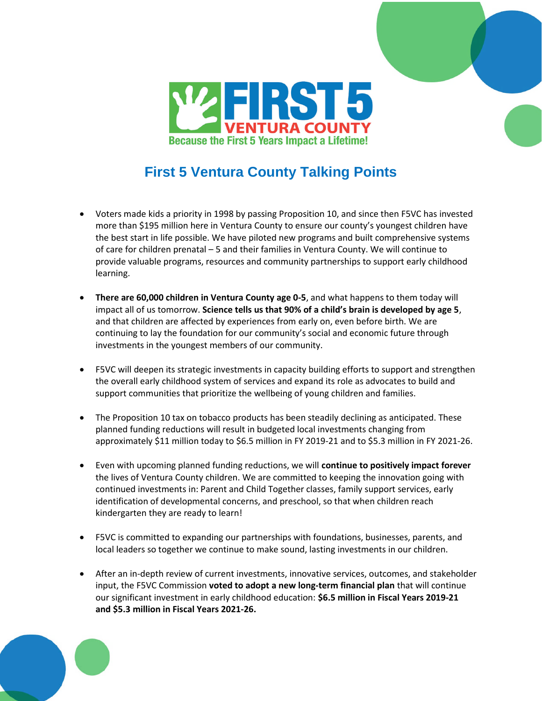

## **First 5 Ventura County Talking Points**

- Voters made kids a priority in 1998 by passing Proposition 10, and since then F5VC has invested more than \$195 million here in Ventura County to ensure our county's youngest children have the best start in life possible. We have piloted new programs and built comprehensive systems of care for children prenatal – 5 and their families in Ventura County. We will continue to provide valuable programs, resources and community partnerships to support early childhood learning.
- **There are 60,000 children in Ventura County age 0-5**, and what happens to them today will impact all of us tomorrow. **Science tells us that 90% of a child's brain is developed by age 5**, and that children are affected by experiences from early on, even before birth. We are continuing to lay the foundation for our community's social and economic future through investments in the youngest members of our community.
- F5VC will deepen its strategic investments in capacity building efforts to support and strengthen the overall early childhood system of services and expand its role as advocates to build and support communities that prioritize the wellbeing of young children and families.
- The Proposition 10 tax on tobacco products has been steadily declining as anticipated. These planned funding reductions will result in budgeted local investments changing from approximately \$11 million today to \$6.5 million in FY 2019-21 and to \$5.3 million in FY 2021-26.
- Even with upcoming planned funding reductions, we will **continue to positively impact forever** the lives of Ventura County children. We are committed to keeping the innovation going with continued investments in: Parent and Child Together classes, family support services, early identification of developmental concerns, and preschool, so that when children reach kindergarten they are ready to learn!
- F5VC is committed to expanding our partnerships with foundations, businesses, parents, and local leaders so together we continue to make sound, lasting investments in our children.
- After an in-depth review of current investments, innovative services, outcomes, and stakeholder input, the F5VC Commission **voted to adopt a new long-term financial plan** that will continue our significant investment in early childhood education: **\$6.5 million in Fiscal Years 2019-21 and \$5.3 million in Fiscal Years 2021-26.**